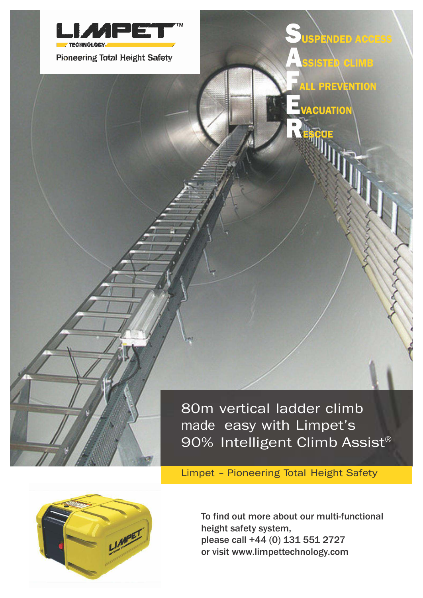

Limpet – Pioneering Total Height Safety



To find out more about our multi-functional height safety system, please call +44 (0) 131 551 2727 or visit [www.limpettechnology.com](http://www.limpettechnology.com/)